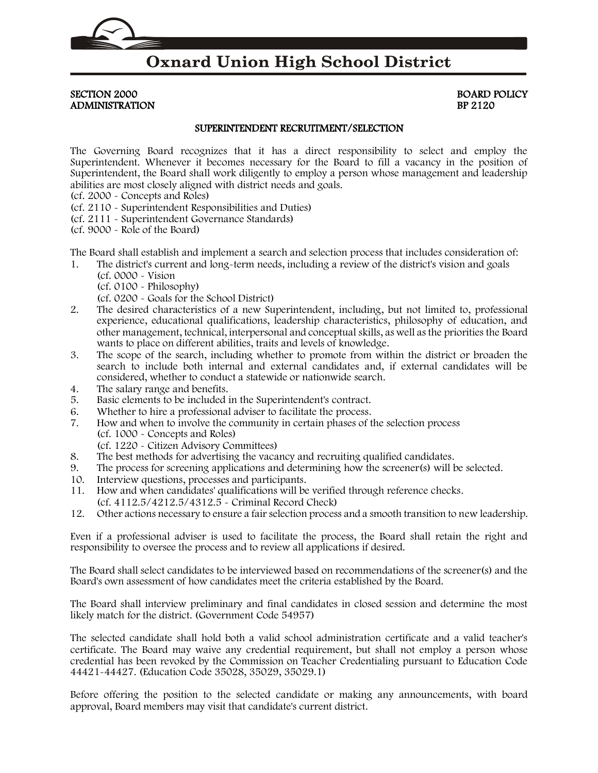### **Oxnard Union High School District**

SECTION 2000 BOARD POLICY ADMINISTRATION BP 2120

#### SUPERINTENDENT RECRUITMENT/SELECTION

The Governing Board recognizes that it has a direct responsibility to select and employ the Superintendent. Whenever it becomes necessary for the Board to fill a vacancy in the position of Superintendent, the Board shall work diligently to employ a person whose management and leadership abilities are most closely aligned with district needs and goals.

- (cf. [2000](http://gamutonline.net/displayPolicy/244931/2) Concepts and Roles)
- (cf. [2110](http://gamutonline.net/displayPolicy/244932/2) Superintendent Responsibilities and Duties)
- (cf. [2111](http://gamutonline.net/displayPolicy/244933/2) Superintendent Governance Standards)
- (cf. [9000](http://gamutonline.net/displayPolicy/234094/2) Role of the Board)

The Board shall establish and implement a search and selection process that includes consideration of:

- 1. The district's current and long-term needs, including a review of the district's vision and goals
	- (cf[. 0000](http://gamutonline.net/displayPolicy/368015/2) Vision (cf[. 0100](http://gamutonline.net/displayPolicy/171516/2) - Philosophy)

(cf[. 0200](http://gamutonline.net/displayPolicy/909473/2) - Goals for the School District)

- 2. The desired characteristics of a new Superintendent, including, but not limited to, professional experience, educational qualifications, leadership characteristics, philosophy of education, and other management, technical, interpersonal and conceptual skills, as well as the priorities the Board wants to place on different abilities, traits and levels of knowledge.
- 3. The scope of the search, including whether to promote from within the district or broaden the search to include both internal and external candidates and, if external candidates will be considered, whether to conduct a statewide or nationwide search.
- 4. The salary range and benefits.
- 5. Basic elements to be included in the Superintendent's contract.
- 6. Whether to hire a professional adviser to facilitate the process.
- 7. How and when to involve the community in certain phases of the selection process (cf[. 1000](http://gamutonline.net/displayPolicy/171197/2) - Concepts and Roles)
	- (cf[. 1220](http://gamutonline.net/displayPolicy/170624/2) Citizen Advisory Committees)
- 8. The best methods for advertising the vacancy and recruiting qualified candidates.
- 9. The process for screening applications and determining how the screener(s) will be selected.
- 10. Interview questions, processes and participants.
- 11. How and when candidates' qualifications will be verified through reference checks. (cf[. 4112.5/](http://gamutonline.net/displayPolicy/274264/2)[4212.5/](http://gamutonline.net/displayPolicy/274278/2)[4312.5](http://gamutonline.net/displayPolicy/274265/2) - Criminal Record Check)
- 12. Other actions necessary to ensure a fair selection process and a smooth transition to new leadership.

Even if a professional adviser is used to facilitate the process, the Board shall retain the right and responsibility to oversee the process and to review all applications if desired.

The Board shall select candidates to be interviewed based on recommendations of the screener(s) and the Board's own assessment of how candidates meet the criteria established by the Board.

The Board shall interview preliminary and final candidates in closed session and determine the most likely match for the district. (Government Code [54957\)](http://gamutonline.net/displayPolicy/145087/2)

The selected candidate shall hold both a valid school administration certificate and a valid teacher's certificate. The Board may waive any credential requirement, but shall not employ a person whose credential has been revoked by the Commission on Teacher Credentialing pursuant to Education Code [44421-](http://gamutonline.net/displayPolicy/130727/2)[44427.](http://gamutonline.net/displayPolicy/130736/2) (Education Code [35028,](http://gamutonline.net/displayPolicy/131359/2) [35029,](http://gamutonline.net/displayPolicy/131360/2) [35029.1\)](http://gamutonline.net/displayPolicy/249099/2)

Before offering the position to the selected candidate or making any announcements, with board approval, Board members may visit that candidate's current district.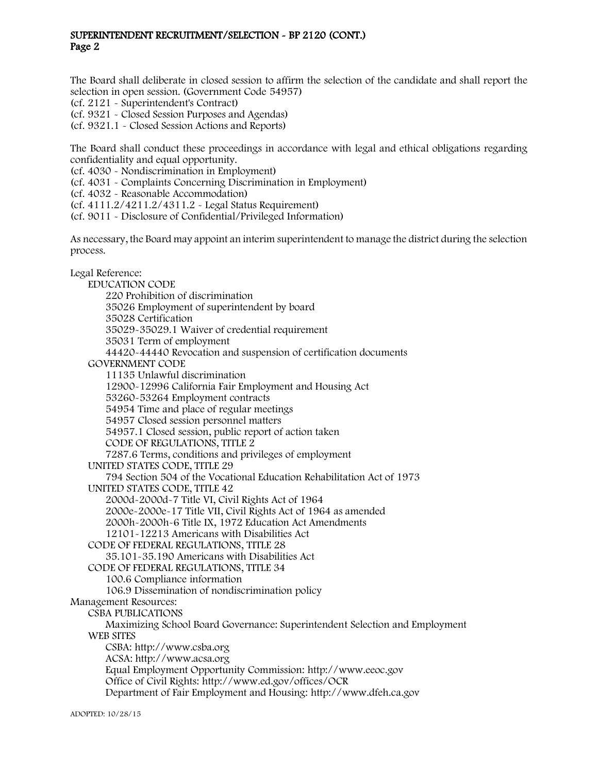#### SUPERINTENDENT RECRUITMENT/SELECTION - BP 2120 (CONT.) Page 2

The Board shall deliberate in closed session to affirm the selection of the candidate and shall report the selection in open session. (Government Code [54957\)](http://gamutonline.net/displayPolicy/145087/2)

(cf. [2121](http://gamutonline.net/displayPolicy/352636/2) - Superintendent's Contract)

(cf. [9321](http://gamutonline.net/displayPolicy/352674/2) - Closed Session Purposes and Agendas)

(cf. [9321.1](http://gamutonline.net/displayPolicy/171558/2) - Closed Session Actions and Reports)

The Board shall conduct these proceedings in accordance with legal and ethical obligations regarding confidentiality and equal opportunity.

(cf. [4030](http://gamutonline.net/displayPolicy/315731/2) - Nondiscrimination in Employment)

(cf. [4031](http://gamutonline.net/displayPolicy/171687/2) - Complaints Concerning Discrimination in Employment)

(cf. [4032](http://gamutonline.net/displayPolicy/292816/2) - Reasonable Accommodation)

(cf. [4111.2/](http://gamutonline.net/displayPolicy/559089/2)[4211.2/](http://gamutonline.net/displayPolicy/559090/2)[4311.2](http://gamutonline.net/displayPolicy/559091/2) - Legal Status Requirement)

(cf. [9011](http://gamutonline.net/displayPolicy/288786/2) - Disclosure of Confidential/Privileged Information)

As necessary, the Board may appoint an interim superintendent to manage the district during the selection process.

#### Legal Reference:

EDUCATION CODE [220](http://gamutonline.net/displayPolicy/138763/2) Prohibition of discrimination [35026](http://gamutonline.net/displayPolicy/131358/2) Employment of superintendent by board [35028](http://gamutonline.net/displayPolicy/131359/2) Certification [35029-](http://gamutonline.net/displayPolicy/131360/2)[35029.1](http://gamutonline.net/displayPolicy/249099/2) Waiver of credential requirement [35031](http://gamutonline.net/displayPolicy/131362/2) Term of employment [44420-](http://gamutonline.net/displayPolicy/130726/2)[44440](http://gamutonline.net/displayPolicy/130749/2) Revocation and suspension of certification documents GOVERNMENT CODE [11135](http://gamutonline.net/displayPolicy/144547/2) Unlawful discrimination [12900-](http://gamutonline.net/displayPolicy/144644/2)[12996](http://gamutonline.net/displayPolicy/144699/2) California Fair Employment and Housing Act [53260-](http://gamutonline.net/displayPolicy/144891/2)[53264](http://gamutonline.net/displayPolicy/144895/2) Employment contracts [54954](http://gamutonline.net/displayPolicy/146031/2) Time and place of regular meetings [54957](http://gamutonline.net/displayPolicy/145087/2) Closed session personnel matters [54957.1](http://gamutonline.net/displayPolicy/145088/2) Closed session, public report of action taken CODE OF REGULATIONS, TITLE 2 [7287.6](http://gamutonline.net/displayPolicy/225126/2) Terms, conditions and privileges of employment UNITED STATES CODE, TITLE 29 [794](http://gamutonline.net/displayPolicy/191053/2) Section 504 of the Vocational Education Rehabilitation Act of 1973 UNITED STATES CODE, TITLE 42 [2000d-2000d-](http://gamutonline.net/displayPolicy/191934/2)7 Title VI, Civil Rights Act of 1964 2000e-2000e-17 Title VII, Civil Rights Act of 1964 as amended 2000h-2000h-6 Title IX, 1972 Education Act Amendments 12101-12213 Americans with Disabilities Act CODE OF FEDERAL REGULATIONS, TITLE 28 [35.101](http://gamutonline.net/displayPolicy/190848/2)[-35.190](http://gamutonline.net/displayPolicy/222082/2) Americans with Disabilities Act CODE OF FEDERAL REGULATIONS, TITLE 34 [100.6](http://gamutonline.net/displayPolicy/274464/2) Compliance information [106.9](http://gamutonline.net/displayPolicy/274453/2) Dissemination of nondiscrimination policy Management Resources: CSBA PUBLICATIONS Maximizing School Board Governance: Superintendent Selection and Employment WEB SITES CSBA[: http://www.csba.org](http://www.csba.org/) ACSA: http://www.acsa.org Equal Employment Opportunity Commission: [http://www.eeoc.gov](http://www.eeoc.gov/) Office of Civil Rights:<http://www.ed.gov/offices/OCR> Department of Fair Employment and Housing: [http://www.dfeh.ca.gov](http://www.dfeh.ca.gov/)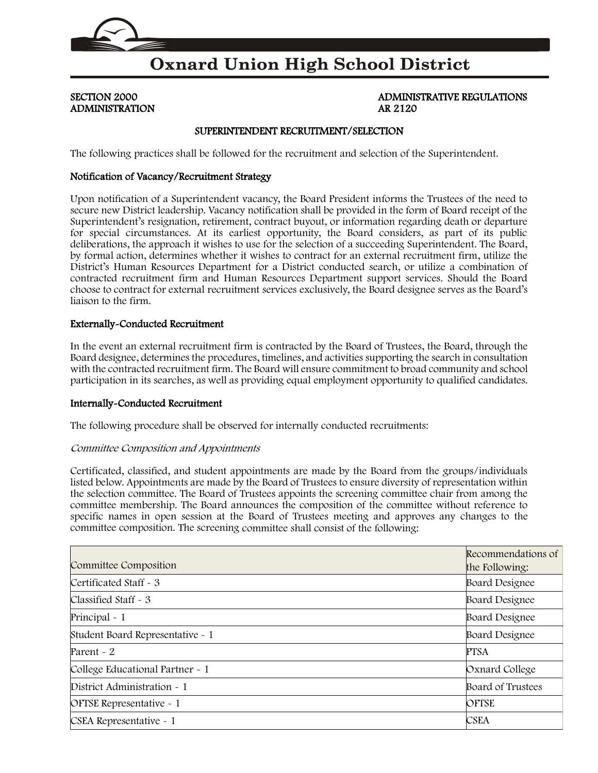

## **Oxnard Union High School District**

# ADMINISTRATION AR 2120

# SECTION 2000 **ADMINISTRATIVE REGULATIONS**

### SUPERINTENDENT RECRUITMENT/SELECTION

The following practices shall be followed for the recruitment and selection of the Superintendent.

#### Notification of Vacancy/Recruitment Strategy

Upon notification of a Superintendent vacancy, the Board President informs the Trustees of the need to secure new District leadership. Vacancy notification shall be provided in the form of Board receipt of the Superintendent's resignation, retirement, contract buyout, or information regarding death or departure for special circumstances. At its earliest opportunity, the Board considers, as part of its public deliberations, the approach it wishes to use for the selection of a succeeding Superintendent. The Board, by formal action, determines whether it wishes to contract for an external recruitment firm, utilize the District's Human Resources Department for a District conducted search, or utilize a combination of contracted recruitment firm and Human Resources Department support services. Should the Board choose to contract for external recruitment services exclusively, the Board designee serves as the Board's liaison to the firm.

#### Externally-Conducted Recruitment

In the event an external recruitment firm is contracted by the Board of Trustees, the Board, through the Board designee, determines the procedures, timelines, and activities supporting the search in consultation with the contracted recruitment firm. The Board will ensure commitment to broad community and school participation in its searches, as well as providing equal employment opportunity to qualified candidates.

#### Internally-Conducted Recruitment

The following procedure shall be observed for internally conducted recruitments:

#### Committee Composition and Appointments

Certificated, classified, and student appointments are made by the Board from the groups/individuals listed below. Appointments are made by the Board of Trustees to ensure diversity of representation within the selection committee. The Board of Trustees appoints the screening committee chair from among the committee membership. The Board announces the composition of the committee without reference to specific names in open session at the Board of Trustees meeting and approves any changes to the committee composition. The screening committee shall consist of the following:

| Committee Composition            | Recommendations of<br>the Following: |
|----------------------------------|--------------------------------------|
| Certificated Staff - 3           | <b>Board Designee</b>                |
| Classified Staff - 3             | <b>Board Designee</b>                |
| Principal - 1                    | <b>Board Designee</b>                |
| Student Board Representative - 1 | <b>Board Designee</b>                |
| Parent $\sim$ 2                  | <b>PTSA</b>                          |
| College Educational Partner - 1  | Oxnard College                       |
| District Administration - 1      | Board of Trustees                    |
| OFTSE Representative - 1         | <b>OFTSE</b>                         |
| CSEA Representative - 1          | <b>CSEA</b>                          |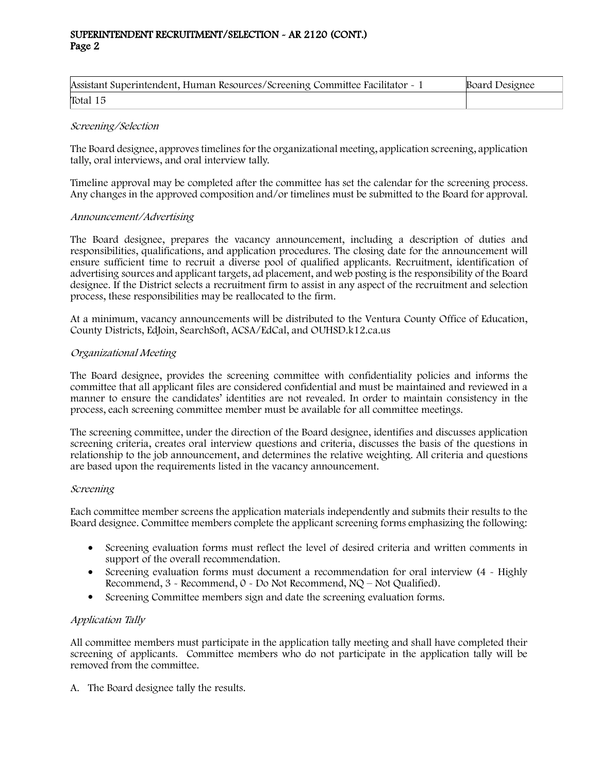#### SUPERINTENDENT RECRUITMENT/SELECTION - AR 2120 (CONT.) Page 2

| Assistant Superintendent, Human Resources/Screening Committee Facilitator - 1 | Board Designee |
|-------------------------------------------------------------------------------|----------------|
| Total 15                                                                      |                |

#### Screening/Selection

The Board designee, approves timelines for the organizational meeting, application screening, application tally, oral interviews, and oral interview tally.

Timeline approval may be completed after the committee has set the calendar for the screening process. Any changes in the approved composition and/or timelines must be submitted to the Board for approval.

#### Announcement/Advertising

The Board designee, prepares the vacancy announcement, including a description of duties and responsibilities, qualifications, and application procedures. The closing date for the announcement will ensure sufficient time to recruit a diverse pool of qualified applicants. Recruitment, identification of advertising sources and applicant targets, ad placement, and web posting is the responsibility of the Board designee. If the District selects a recruitment firm to assist in any aspect of the recruitment and selection process, these responsibilities may be reallocated to the firm.

At a minimum, vacancy announcements will be distributed to the Ventura County Office of Education, County Districts, EdJoin, SearchSoft, ACSA/EdCal, and OUHSD.k12.ca.us

#### Organizational Meeting

The Board designee, provides the screening committee with confidentiality policies and informs the committee that all applicant files are considered confidential and must be maintained and reviewed in a manner to ensure the candidates' identities are not revealed. In order to maintain consistency in the process, each screening committee member must be available for all committee meetings.

The screening committee, under the direction of the Board designee, identifies and discusses application screening criteria, creates oral interview questions and criteria, discusses the basis of the questions in relationship to the job announcement, and determines the relative weighting. All criteria and questions are based upon the requirements listed in the vacancy announcement.

#### Screening

Each committee member screens the application materials independently and submits their results to the Board designee. Committee members complete the applicant screening forms emphasizing the following:

- Screening evaluation forms must reflect the level of desired criteria and written comments in support of the overall recommendation.
- Screening evaluation forms must document a recommendation for oral interview (4 Highly Recommend, 3 - Recommend, 0 - Do Not Recommend, NQ – Not Qualified).
- Screening Committee members sign and date the screening evaluation forms.

#### Application Tally

All committee members must participate in the application tally meeting and shall have completed their screening of applicants. Committee members who do not participate in the application tally will be removed from the committee.

A. The Board designee tally the results.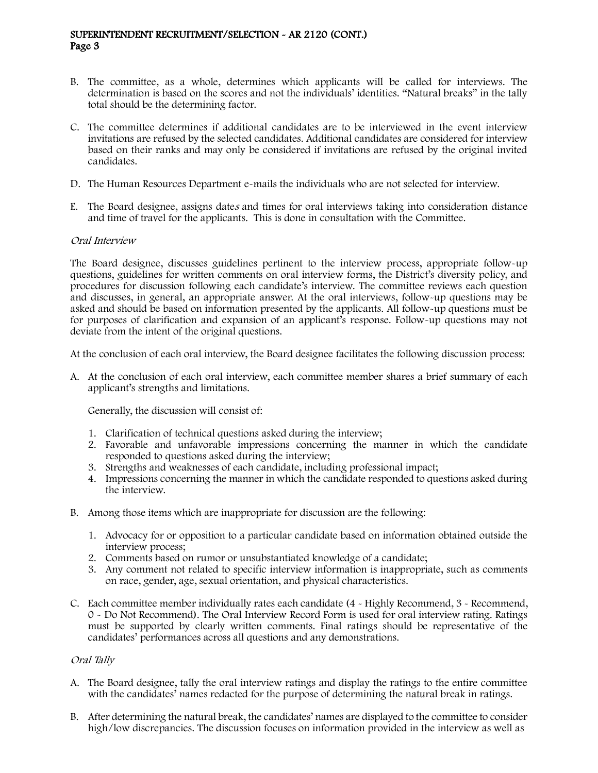#### SUPERINTENDENT RECRUITMENT/SELECTION - AR 2120 (CONT.) Page 3

- B. The committee, as a whole, determines which applicants will be called for interviews. The determination is based on the scores and not the individuals' identities. "Natural breaks" in the tally total should be the determining factor.
- C. The committee determines if additional candidates are to be interviewed in the event interview invitations are refused by the selected candidates. Additional candidates are considered for interview based on their ranks and may only be considered if invitations are refused by the original invited candidates.
- D. The Human Resources Department e-mails the individuals who are not selected for interview.
- E. The Board designee, assigns dates and times for oral interviews taking into consideration distance and time of travel for the applicants. This is done in consultation with the Committee.

#### Oral Interview

The Board designee, discusses guidelines pertinent to the interview process, appropriate follow-up questions, guidelines for written comments on oral interview forms, the District's diversity policy, and procedures for discussion following each candidate's interview. The committee reviews each question and discusses, in general, an appropriate answer. At the oral interviews, follow-up questions may be asked and should be based on information presented by the applicants. All follow-up questions must be for purposes of clarification and expansion of an applicant's response. Follow-up questions may not deviate from the intent of the original questions.

At the conclusion of each oral interview, the Board designee facilitates the following discussion process:

A. At the conclusion of each oral interview, each committee member shares a brief summary of each applicant's strengths and limitations.

Generally, the discussion will consist of:

- 1. Clarification of technical questions asked during the interview;
- 2. Favorable and unfavorable impressions concerning the manner in which the candidate responded to questions asked during the interview;
- 3. Strengths and weaknesses of each candidate, including professional impact;
- 4. Impressions concerning the manner in which the candidate responded to questions asked during the interview.
- B. Among those items which are inappropriate for discussion are the following:
	- 1. Advocacy for or opposition to a particular candidate based on information obtained outside the interview process;
	- 2. Comments based on rumor or unsubstantiated knowledge of a candidate;
	- 3. Any comment not related to specific interview information is inappropriate, such as comments on race, gender, age, sexual orientation, and physical characteristics.
- C. Each committee member individually rates each candidate (4 Highly Recommend, 3 Recommend, 0 - Do Not Recommend). The Oral Interview Record Form is used for oral interview rating. Ratings must be supported by clearly written comments. Final ratings should be representative of the candidates' performances across all questions and any demonstrations.

#### Oral Tally

- A. The Board designee, tally the oral interview ratings and display the ratings to the entire committee with the candidates' names redacted for the purpose of determining the natural break in ratings.
- B. After determining the natural break, the candidates' names are displayed to the committee to consider high/low discrepancies. The discussion focuses on information provided in the interview as well as